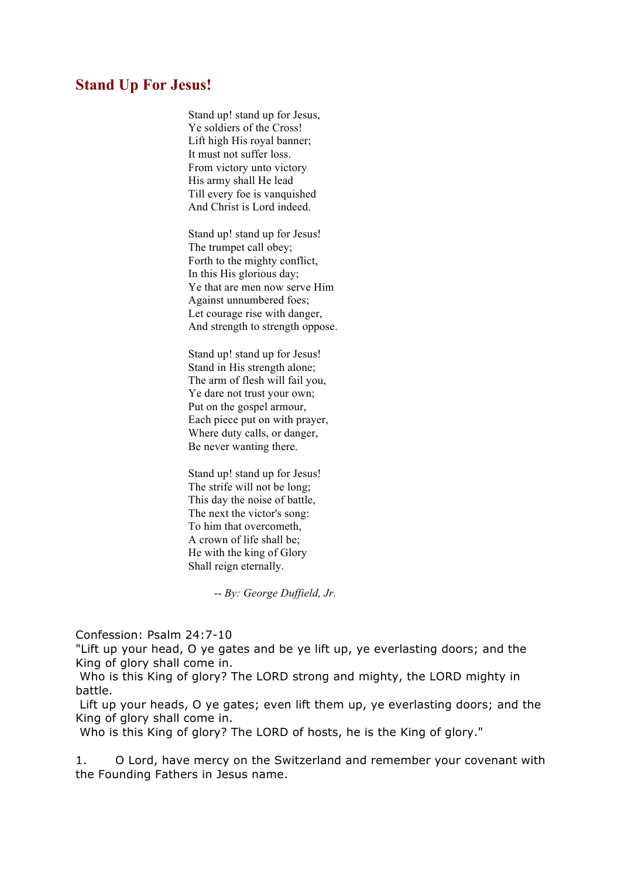## **Stand Up For Jesus!**

Stand up! stand up for Jesus, Ye soldiers of the Cross! Lift high His royal banner; It must not suffer loss. From victory unto victory His army shall He lead Till every foe is vanquished And Christ is Lord indeed.

Stand up! stand up for Jesus! The trumpet call obey; Forth to the mighty conflict, In this His glorious day; Ye that are men now serve Him Against unnumbered foes; Let courage rise with danger, And strength to strength oppose.

Stand up! stand up for Jesus! Stand in His strength alone; The arm of flesh will fail you, Ye dare not trust your own; Put on the gospel armour, Each piece put on with prayer, Where duty calls, or danger, Be never wanting there.

Stand up! stand up for Jesus! The strife will not be long; This day the noise of battle, The next the victor's song: To him that overcometh, A crown of life shall be; He with the king of Glory Shall reign eternally.

-- *By: George Duffield, Jr.*

Confession: Psalm 24:7-10

"Lift up your head, O ye gates and be ye lift up, ye everlasting doors; and the King of glory shall come in.

Who is this King of glory? The LORD strong and mighty, the LORD mighty in battle.

Lift up your heads, O ye gates; even lift them up, ye everlasting doors; and the King of glory shall come in.

Who is this King of glory? The LORD of hosts, he is the King of glory."

1. O Lord, have mercy on the Switzerland and remember your covenant with the Founding Fathers in Jesus name.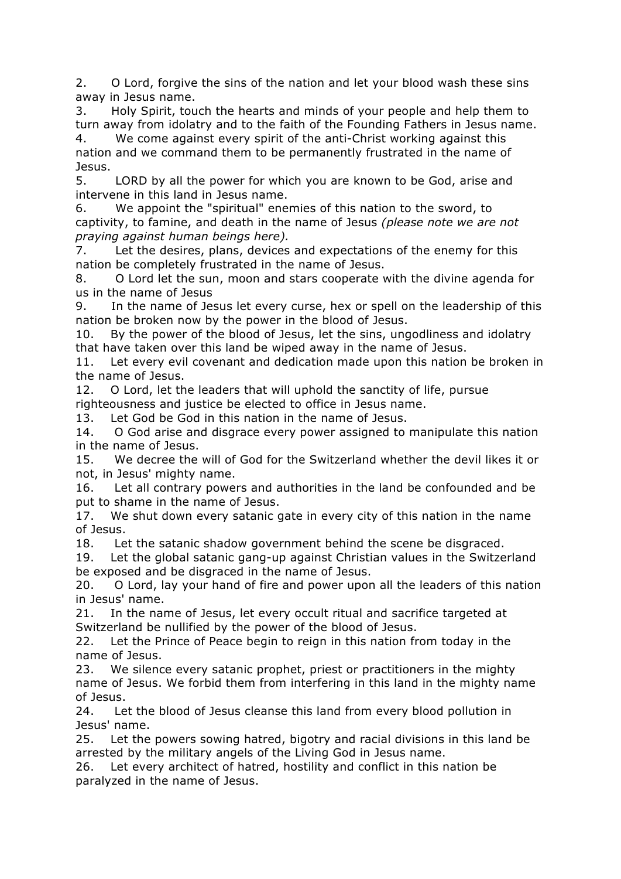2. O Lord, forgive the sins of the nation and let your blood wash these sins away in Jesus name.

3. Holy Spirit, touch the hearts and minds of your people and help them to turn away from idolatry and to the faith of the Founding Fathers in Jesus name.

4. We come against every spirit of the anti-Christ working against this nation and we command them to be permanently frustrated in the name of Jesus.

5. LORD by all the power for which you are known to be God, arise and intervene in this land in Jesus name.

6. We appoint the "spiritual" enemies of this nation to the sword, to captivity, to famine, and death in the name of Jesus *(please note we are not praying against human beings here).*

7. Let the desires, plans, devices and expectations of the enemy for this nation be completely frustrated in the name of Jesus.

8. O Lord let the sun, moon and stars cooperate with the divine agenda for us in the name of Jesus

9. In the name of Jesus let every curse, hex or spell on the leadership of this nation be broken now by the power in the blood of Jesus.

10. By the power of the blood of Jesus, let the sins, ungodliness and idolatry that have taken over this land be wiped away in the name of Jesus.

11. Let every evil covenant and dedication made upon this nation be broken in the name of Jesus.

12. O Lord, let the leaders that will uphold the sanctity of life, pursue righteousness and justice be elected to office in Jesus name.

13. Let God be God in this nation in the name of Jesus.

14. O God arise and disgrace every power assigned to manipulate this nation in the name of Jesus.

15. We decree the will of God for the Switzerland whether the devil likes it or not, in Jesus' mighty name.

16. Let all contrary powers and authorities in the land be confounded and be put to shame in the name of Jesus.

17. We shut down every satanic gate in every city of this nation in the name of Jesus.

18. Let the satanic shadow government behind the scene be disgraced.

19. Let the global satanic gang-up against Christian values in the Switzerland be exposed and be disgraced in the name of Jesus.

20. O Lord, lay your hand of fire and power upon all the leaders of this nation in Jesus' name.

21. In the name of Jesus, let every occult ritual and sacrifice targeted at Switzerland be nullified by the power of the blood of Jesus.

22. Let the Prince of Peace begin to reign in this nation from today in the name of Jesus.

23. We silence every satanic prophet, priest or practitioners in the mighty name of Jesus. We forbid them from interfering in this land in the mighty name of Jesus.

24. Let the blood of Jesus cleanse this land from every blood pollution in Jesus' name.

25. Let the powers sowing hatred, bigotry and racial divisions in this land be arrested by the military angels of the Living God in Jesus name.

26. Let every architect of hatred, hostility and conflict in this nation be paralyzed in the name of Jesus.